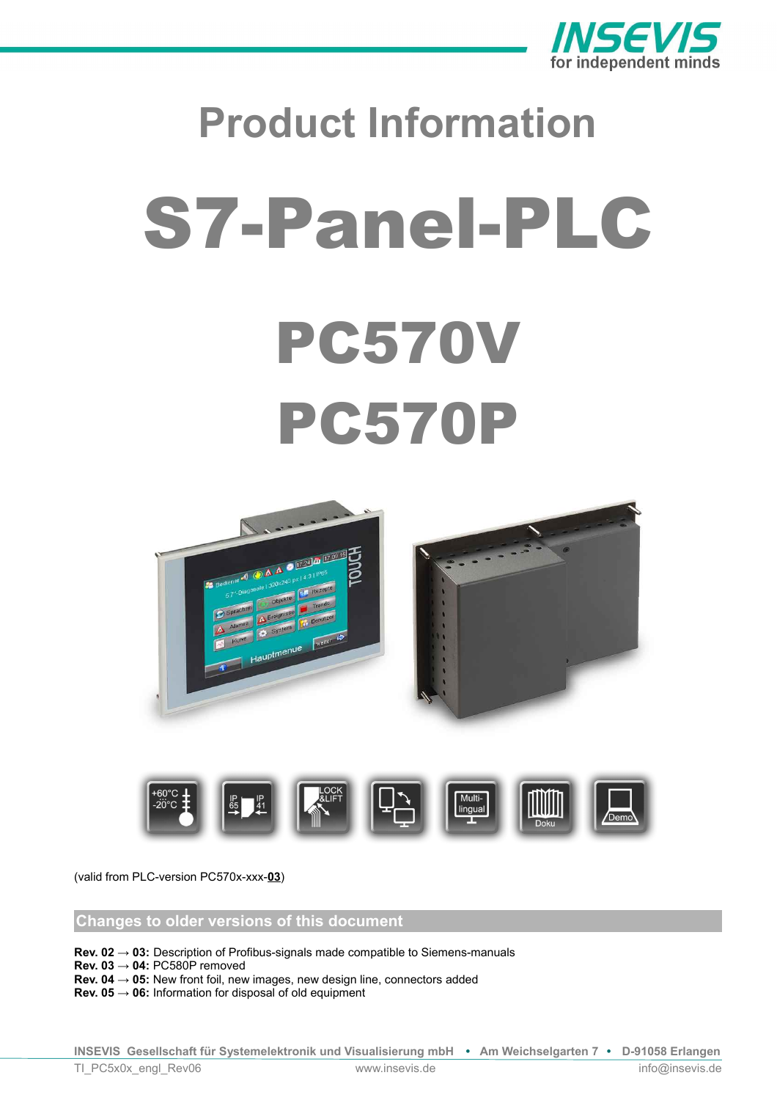

# **Product Information** S7-Panel-PLC PC570V PC570P





(valid from PLC-version PC570x-xxx-**03**)

# **Changes to older versions of this document**

**Rev. 02 → 03:** Description of Profibus-signals made compatible to Siemens-manuals

**Rev. 03**  $\rightarrow$  **04: PC580P removed** 

**Rev. 04 → 05:** New front foil, new images, new design line, connectors added

**Rev. 05 → 06:** Information for disposal of old equipment

**INSEVIS Gesellschaft für Systemelektronik und Visualisierung mbH • Am Weichselgarten 7 • D-91058 Erlangen** TI\_PC5x0x\_engl\_Rev06 www.insevis.de info@insevis.de info@insevis.de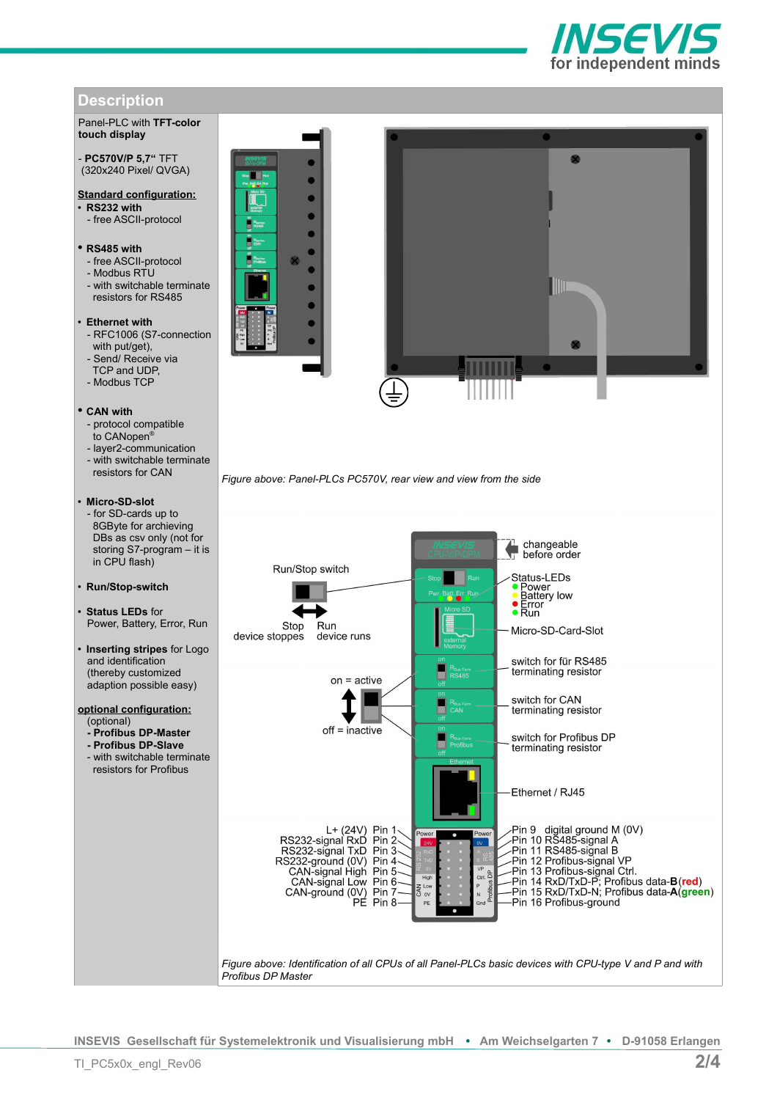

# **Description**

# Panel-PLC with **TFT-color touch display**

## - **PC570V/P 5,7"** TFT (320x240 Pixel/ QVGA)

# **Standard configuration:**

- **RS232 with**
- free ASCII-protocol

## • **RS485 with**

- free ASCII-protocol
- Modbus RTU
- with switchable terminate resistors for RS485

# • **Ethernet with**

- RFC1006 (S7-connection with put/get),
- Send/ Receive via TCP and UDP,
- Modbus TCP

# • **CAN with**

- protocol compatible
- to CANopen®
- layer2-communication
- with switchable terminate resistors for CAN

# • **Micro-SD-slot**

- for SD-cards up to 8GByte for archieving DBs as csv only (not for storing S7-program – it is in CPU flash)

#### • **Run/Stop-switch**

- **Status LEDs** for Power, Battery, Error, Run
- **Inserting stripes** for Logo and identification (thereby customized adaption possible easy)

### **optional configuration:** (optional)

- **Profibus DP-Master**
- **Profibus DP-Slave**
- with switchable terminate resistors for Profibus





*Figure above: Panel-PLCs PC570V, rear view and view from the side*



**INSEVIS Gesellschaft für Systemelektronik und Visualisierung mbH • Am Weichselgarten 7 • D-91058 Erlangen**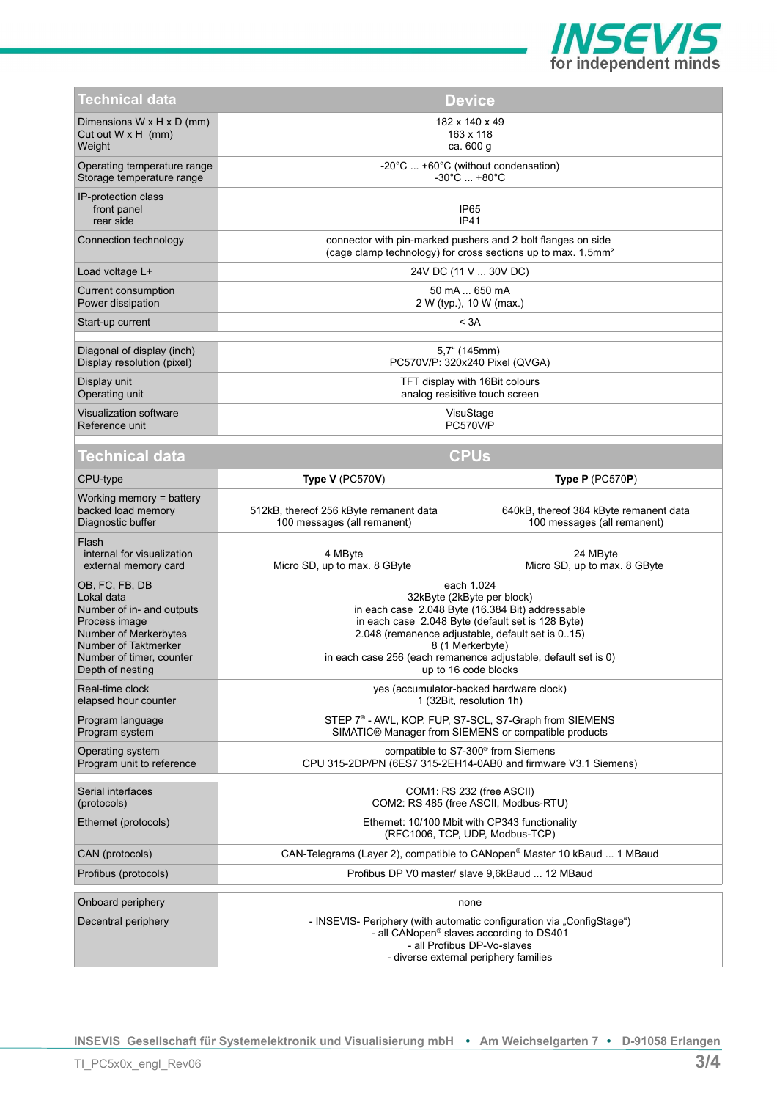

| Technical data                                                                                                                                                              | <b>Device</b>                                                                                                                                                                                                                                                                                                       |                                                                                                                            |
|-----------------------------------------------------------------------------------------------------------------------------------------------------------------------------|---------------------------------------------------------------------------------------------------------------------------------------------------------------------------------------------------------------------------------------------------------------------------------------------------------------------|----------------------------------------------------------------------------------------------------------------------------|
| Dimensions W x H x D (mm)<br>Cut out $W \times H$ (mm)<br>Weight                                                                                                            | 182 x 140 x 49<br>163 x 118<br>ca. 600 g                                                                                                                                                                                                                                                                            |                                                                                                                            |
| Operating temperature range<br>Storage temperature range                                                                                                                    | -20°C  +60°C (without condensation)<br>-30°C  +80°C                                                                                                                                                                                                                                                                 |                                                                                                                            |
| IP-protection class<br>front panel<br>rear side                                                                                                                             | IP65<br><b>IP41</b>                                                                                                                                                                                                                                                                                                 |                                                                                                                            |
| Connection technology                                                                                                                                                       | connector with pin-marked pushers and 2 bolt flanges on side<br>(cage clamp technology) for cross sections up to max. 1,5mm <sup>2</sup>                                                                                                                                                                            |                                                                                                                            |
| Load voltage L+                                                                                                                                                             | 24V DC (11 V  30V DC)                                                                                                                                                                                                                                                                                               |                                                                                                                            |
| Current consumption<br>Power dissipation                                                                                                                                    | 50 mA  650 mA<br>2 W (typ.), 10 W (max.)                                                                                                                                                                                                                                                                            |                                                                                                                            |
| Start-up current                                                                                                                                                            |                                                                                                                                                                                                                                                                                                                     | < 3A                                                                                                                       |
| Diagonal of display (inch)<br>Display resolution (pixel)                                                                                                                    | $5,7^{\circ}$ (145mm)<br>PC570V/P: 320x240 Pixel (QVGA)                                                                                                                                                                                                                                                             |                                                                                                                            |
| Display unit<br>Operating unit                                                                                                                                              | TFT display with 16Bit colours<br>analog resisitive touch screen                                                                                                                                                                                                                                                    |                                                                                                                            |
| Visualization software<br>Reference unit                                                                                                                                    | VisuStage<br><b>PC570V/P</b>                                                                                                                                                                                                                                                                                        |                                                                                                                            |
| <b>Technical data</b>                                                                                                                                                       |                                                                                                                                                                                                                                                                                                                     | <b>CPUs</b>                                                                                                                |
| CPU-type                                                                                                                                                                    | Type V (PC570V)                                                                                                                                                                                                                                                                                                     | Type $P$ (PC570P)                                                                                                          |
| Working memory $=$ battery<br>backed load memory<br>Diagnostic buffer                                                                                                       | 512kB, thereof 256 kByte remanent data<br>100 messages (all remanent)                                                                                                                                                                                                                                               | 640kB, thereof 384 kByte remanent data<br>100 messages (all remanent)                                                      |
| Flash<br>internal for visualization<br>external memory card                                                                                                                 | 4 MByte<br>Micro SD, up to max. 8 GByte                                                                                                                                                                                                                                                                             | 24 MByte<br>Micro SD, up to max. 8 GByte                                                                                   |
|                                                                                                                                                                             | each 1.024<br>32kByte (2kByte per block)<br>in each case 2.048 Byte (16.384 Bit) addressable<br>in each case 2.048 Byte (default set is 128 Byte)<br>2.048 (remanence adjustable, default set is 015)<br>8 (1 Merkerbyte)<br>in each case 256 (each remanence adjustable, default set is 0)<br>up to 16 code blocks |                                                                                                                            |
| OB, FC, FB, DB<br>Lokal data<br>Number of in- and outputs<br>Process image<br>Number of Merkerbytes<br>Number of Taktmerker<br>Number of timer, counter<br>Depth of nesting |                                                                                                                                                                                                                                                                                                                     |                                                                                                                            |
| Real-time clock<br>elapsed hour counter                                                                                                                                     |                                                                                                                                                                                                                                                                                                                     | yes (accumulator-backed hardware clock)<br>1 (32Bit, resolution 1h)                                                        |
| Program language<br>Program system                                                                                                                                          |                                                                                                                                                                                                                                                                                                                     | STEP 7 <sup>®</sup> - AWL, KOP, FUP, S7-SCL, S7-Graph from SIEMENS<br>SIMATIC® Manager from SIEMENS or compatible products |
| Operating system<br>Program unit to reference                                                                                                                               |                                                                                                                                                                                                                                                                                                                     | compatible to S7-300 <sup>®</sup> from Siemens<br>CPU 315-2DP/PN (6ES7 315-2EH14-0AB0 and firmware V3.1 Siemens)           |
| Serial interfaces<br>(protocols)                                                                                                                                            |                                                                                                                                                                                                                                                                                                                     | COM1: RS 232 (free ASCII)<br>COM2: RS 485 (free ASCII, Modbus-RTU)                                                         |
| Ethernet (protocols)                                                                                                                                                        |                                                                                                                                                                                                                                                                                                                     | Ethernet: 10/100 Mbit with CP343 functionality<br>(RFC1006, TCP, UDP, Modbus-TCP)                                          |
| CAN (protocols)                                                                                                                                                             |                                                                                                                                                                                                                                                                                                                     | CAN-Telegrams (Layer 2), compatible to CANopen <sup>®</sup> Master 10 kBaud  1 MBaud                                       |
| Profibus (protocols)                                                                                                                                                        |                                                                                                                                                                                                                                                                                                                     | Profibus DP V0 master/ slave 9,6kBaud  12 MBaud                                                                            |
| Onboard periphery                                                                                                                                                           |                                                                                                                                                                                                                                                                                                                     | none                                                                                                                       |

**INSEVIS Gesellschaft für Systemelektronik und Visualisierung mbH • Am Weichselgarten 7 • D-91058 Erlangen**